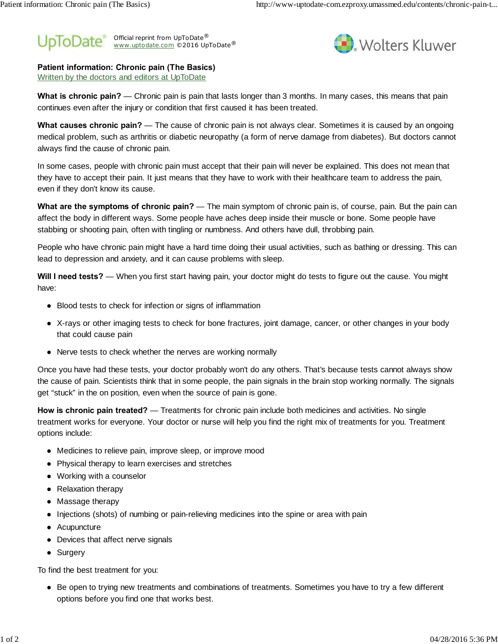



**Patient information: Chronic pain (The Basics)**

Written by the doctors and editors at UpToDate

**What is chronic pain?** — Chronic pain is pain that lasts longer than 3 months. In many cases, this means that pain continues even after the injury or condition that first caused it has been treated.

**What causes chronic pain?** — The cause of chronic pain is not always clear. Sometimes it is caused by an ongoing medical problem, such as arthritis or diabetic neuropathy (a form of nerve damage from diabetes). But doctors cannot always find the cause of chronic pain.

In some cases, people with chronic pain must accept that their pain will never be explained. This does not mean that they have to accept their pain. It just means that they have to work with their healthcare team to address the pain, even if they don't know its cause.

**What are the symptoms of chronic pain?** — The main symptom of chronic pain is, of course, pain. But the pain can affect the body in different ways. Some people have aches deep inside their muscle or bone. Some people have stabbing or shooting pain, often with tingling or numbness. And others have dull, throbbing pain.

People who have chronic pain might have a hard time doing their usual activities, such as bathing or dressing. This can lead to depression and anxiety, and it can cause problems with sleep.

**Will I need tests?** — When you first start having pain, your doctor might do tests to figure out the cause. You might have:

Blood tests to check for infection or signs of inflammation

X-rays or other imaging tests to check for bone fractures, joint damage, cancer, or other changes in your body that could cause pain

Nerve tests to check whether the nerves are working normally

Once you have had these tests, your doctor probably won't do any others. That's because tests cannot always show the cause of pain. Scientists think that in some people, the pain signals in the brain stop working normally. The signals get "stuck" in the on position, even when the source of pain is gone.

**How is chronic pain treated?** — Treatments for chronic pain include both medicines and activities. No single treatment works for everyone. Your doctor or nurse will help you find the right mix of treatments for you. Treatment options include:

Medicines to relieve pain, improve sleep, or improve mood

Physical therapy to learn exercises and stretches

Working with a counselor

Relaxation therapy

Massage therapy

Injections (shots) of numbing or pain-relieving medicines into the spine or area with pain

**Acupuncture** 

Devices that affect nerve signals

Surgery

To find the best treatment for you:

Be open to trying new treatments and combinations of treatments. Sometimes you have to try a few different options before you find one that works best.